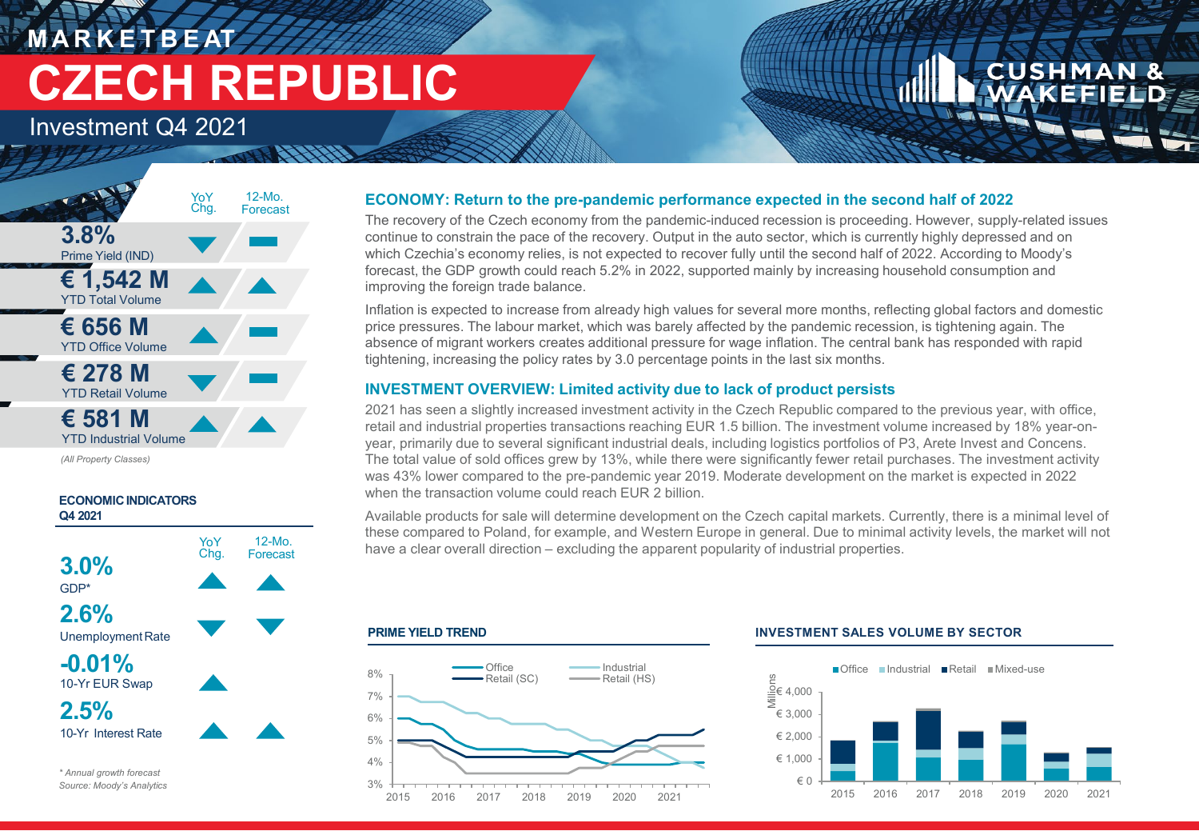## **M A R K E T B E AT CZECH REPUBLIC**

Investment Q4 2021



*(All Property Classes)*



#### **ECONOMY: Return to the pre-pandemic performance expected in the second half of 2022**

The recovery of the Czech economy from the pandemic-induced recession is proceeding. However, supply-related issues continue to constrain the pace of the recovery. Output in the auto sector, which is currently highly depressed and on which Czechia's economy relies, is not expected to recover fully until the second half of 2022. According to Moody's forecast, the GDP growth could reach 5.2% in 2022, supported mainly by increasing household consumption and improving the foreign trade balance.

Inflation is expected to increase from already high values for several more months, reflecting global factors and domestic price pressures. The labour market, which was barely affected by the pandemic recession, is tightening again. The absence of migrant workers creates additional pressure for wage inflation. The central bank has responded with rapid tightening, increasing the policy rates by 3.0 percentage points in the last six months.

### **INVESTMENT OVERVIEW: Limited activity due to lack of product persists**

2021 has seen a slightly increased investment activity in the Czech Republic compared to the previous year, with office, retail and industrial properties transactions reaching EUR 1.5 billion. The investment volume increased by 18% year-onyear, primarily due to several significant industrial deals, including logistics portfolios of P3, Arete Invest and Concens. The total value of sold offices grew by 13%, while there were significantly fewer retail purchases. The investment activity was 43% lower compared to the pre-pandemic year 2019. Moderate development on the market is expected in 2022 when the transaction volume could reach EUR 2 billion.

Available products for sale will determine development on the Czech capital markets. Currently, there is a minimal level of these compared to Poland, for example, and Western Europe in general. Due to minimal activity levels, the market will not have a clear overall direction – excluding the apparent popularity of industrial properties.

#### **PRIME YIELD TREND**



#### **INVESTMENT SALES VOLUME BY SECTOR**